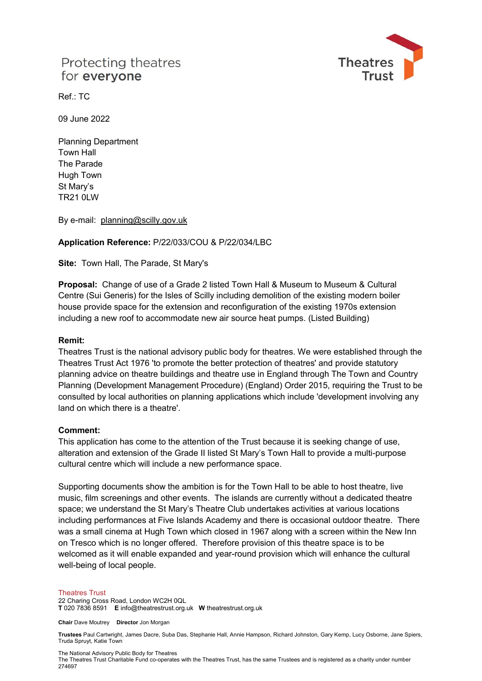# Protecting theatres for everyone



 $Ref \cdot TC$ 

09 June 2022

Planning Department Town Hall The Parade Hugh Town St Mary's TR21 0LW

By e-mail: [planning@scilly.gov.uk](mailto:planning@scilly.gov.uk)

### **Application Reference:** P/22/033/COU & P/22/034/LBC

**Site:** Town Hall, The Parade, St Mary's

**Proposal:** Change of use of a Grade 2 listed Town Hall & Museum to Museum & Cultural Centre (Sui Generis) for the Isles of Scilly including demolition of the existing modern boiler house provide space for the extension and reconfiguration of the existing 1970s extension including a new roof to accommodate new air source heat pumps. (Listed Building)

### **Remit:**

Theatres Trust is the national advisory public body for theatres. We were established through the Theatres Trust Act 1976 'to promote the better protection of theatres' and provide statutory planning advice on theatre buildings and theatre use in England through The Town and Country Planning (Development Management Procedure) (England) Order 2015, requiring the Trust to be consulted by local authorities on planning applications which include 'development involving any land on which there is a theatre'.

#### **Comment:**

This application has come to the attention of the Trust because it is seeking change of use, alteration and extension of the Grade II listed St Mary's Town Hall to provide a multi-purpose cultural centre which will include a new performance space.

Supporting documents show the ambition is for the Town Hall to be able to host theatre, live music, film screenings and other events. The islands are currently without a dedicated theatre space; we understand the St Mary's Theatre Club undertakes activities at various locations including performances at Five Islands Academy and there is occasional outdoor theatre. There was a small cinema at Hugh Town which closed in 1967 along with a screen within the New Inn on Tresco which is no longer offered. Therefore provision of this theatre space is to be welcomed as it will enable expanded and year-round provision which will enhance the cultural well-being of local people.

#### Theatres Trust

22 Charing Cross Road, London WC2H 0QL **T** 020 7836 8591 **E** info@theatrestrust.org.uk **W** theatrestrust.org.uk

**Chair** Dave Moutrey **Director** Jon Morgan

**Trustees** Paul Cartwright, James Dacre, Suba Das, Stephanie Hall, Annie Hampson, Richard Johnston, Gary Kemp, Lucy Osborne, Jane Spiers, Truda Spruyt, Katie Town

The National Advisory Public Body for Theatres

The Theatres Trust Charitable Fund co-operates with the Theatres Trust, has the same Trustees and is registered as a charity under number 274697